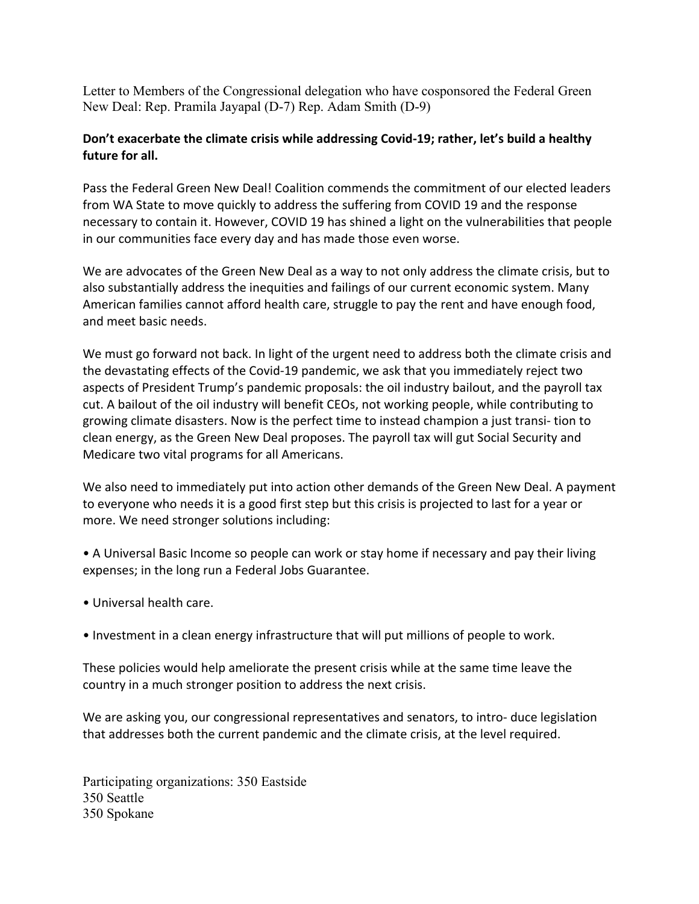Letter to Members of the Congressional delegation who have cosponsored the Federal Green New Deal: Rep. Pramila Jayapal (D-7) Rep. Adam Smith (D-9)

## **Don't exacerbate the climate crisis while addressing Covid-19; rather, let's build a healthy future for all.**

Pass the Federal Green New Deal! Coalition commends the commitment of our elected leaders from WA State to move quickly to address the suffering from COVID 19 and the response necessary to contain it. However, COVID 19 has shined a light on the vulnerabilities that people in our communities face every day and has made those even worse.

We are advocates of the Green New Deal as a way to not only address the climate crisis, but to also substantially address the inequities and failings of our current economic system. Many American families cannot afford health care, struggle to pay the rent and have enough food, and meet basic needs.

We must go forward not back. In light of the urgent need to address both the climate crisis and the devastating effects of the Covid-19 pandemic, we ask that you immediately reject two aspects of President Trump's pandemic proposals: the oil industry bailout, and the payroll tax cut. A bailout of the oil industry will benefit CEOs, not working people, while contributing to growing climate disasters. Now is the perfect time to instead champion a just transi- tion to clean energy, as the Green New Deal proposes. The payroll tax will gut Social Security and Medicare two vital programs for all Americans.

We also need to immediately put into action other demands of the Green New Deal. A payment to everyone who needs it is a good first step but this crisis is projected to last for a year or more. We need stronger solutions including:

• A Universal Basic Income so people can work or stay home if necessary and pay their living expenses; in the long run a Federal Jobs Guarantee.

- Universal health care.
- Investment in a clean energy infrastructure that will put millions of people to work.

These policies would help ameliorate the present crisis while at the same time leave the country in a much stronger position to address the next crisis.

We are asking you, our congressional representatives and senators, to intro- duce legislation that addresses both the current pandemic and the climate crisis, at the level required.

Participating organizations: 350 Eastside 350 Seattle 350 Spokane